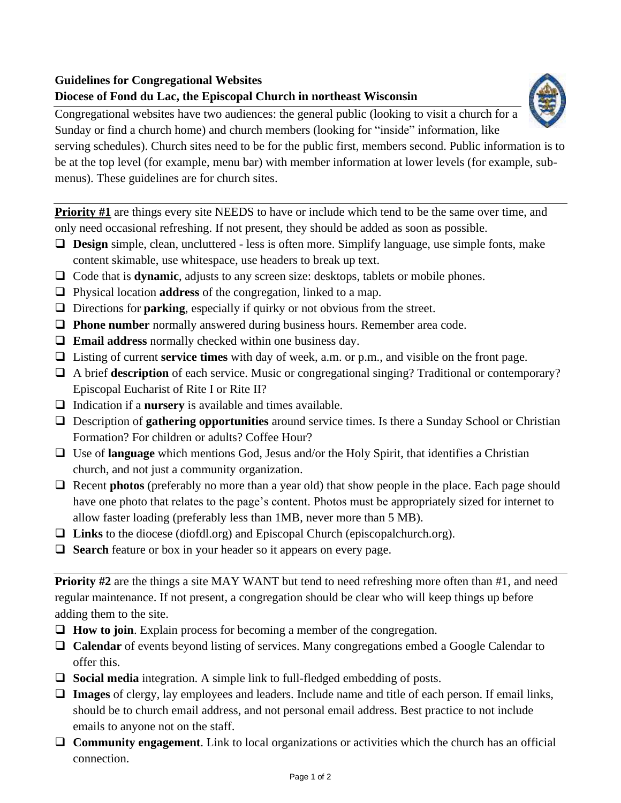## **Guidelines for Congregational Websites Diocese of Fond du Lac, the Episcopal Church in northeast Wisconsin**

Congregational websites have two audiences: the general public (looking to visit a church for a Sunday or find a church home) and church members (looking for "inside" information, like

serving schedules). Church sites need to be for the public first, members second. Public information is to be at the top level (for example, menu bar) with member information at lower levels (for example, submenus). These guidelines are for church sites.

**Priority #1** are things every site NEEDS to have or include which tend to be the same over time, and only need occasional refreshing. If not present, they should be added as soon as possible.

- ❑ **Design** simple, clean, uncluttered less is often more. Simplify language, use simple fonts, make content skimable, use whitespace, use headers to break up text.
- ❑ Code that is **dynamic**, adjusts to any screen size: desktops, tablets or mobile phones.
- ❑ Physical location **address** of the congregation, linked to a map.
- ❑ Directions for **parking**, especially if quirky or not obvious from the street.
- □ **Phone number** normally answered during business hours. Remember area code.
- ❑ **Email address** normally checked within one business day.
- ❑ Listing of current **service times** with day of week, a.m. or p.m., and visible on the front page.
- □ A brief **description** of each service. Music or congregational singing? Traditional or contemporary? Episcopal Eucharist of Rite I or Rite II?
- ❑ Indication if a **nursery** is available and times available.
- □ Description of **gathering opportunities** around service times. Is there a Sunday School or Christian Formation? For children or adults? Coffee Hour?
- ❑ Use of **language** which mentions God, Jesus and/or the Holy Spirit, that identifies a Christian church, and not just a community organization.
- ❑ Recent **photos** (preferably no more than a year old) that show people in the place. Each page should have one photo that relates to the page's content. Photos must be appropriately sized for internet to allow faster loading (preferably less than 1MB, never more than 5 MB).
- ❑ **Links** to the diocese (diofdl.org) and Episcopal Church (episcopalchurch.org).
- ❑ **Search** feature or box in your header so it appears on every page.

**Priority #2** are the things a site MAY WANT but tend to need refreshing more often than #1, and need regular maintenance. If not present, a congregation should be clear who will keep things up before adding them to the site.

- ❑ **How to join**. Explain process for becoming a member of the congregation.
- ❑ **Calendar** of events beyond listing of services. Many congregations embed a Google Calendar to offer this.
- ❑ **Social media** integration. A simple link to full-fledged embedding of posts.
- ❑ **Images** of clergy, lay employees and leaders. Include name and title of each person. If email links, should be to church email address, and not personal email address. Best practice to not include emails to anyone not on the staff.
- ❑ **Community engagement**. Link to local organizations or activities which the church has an official connection.